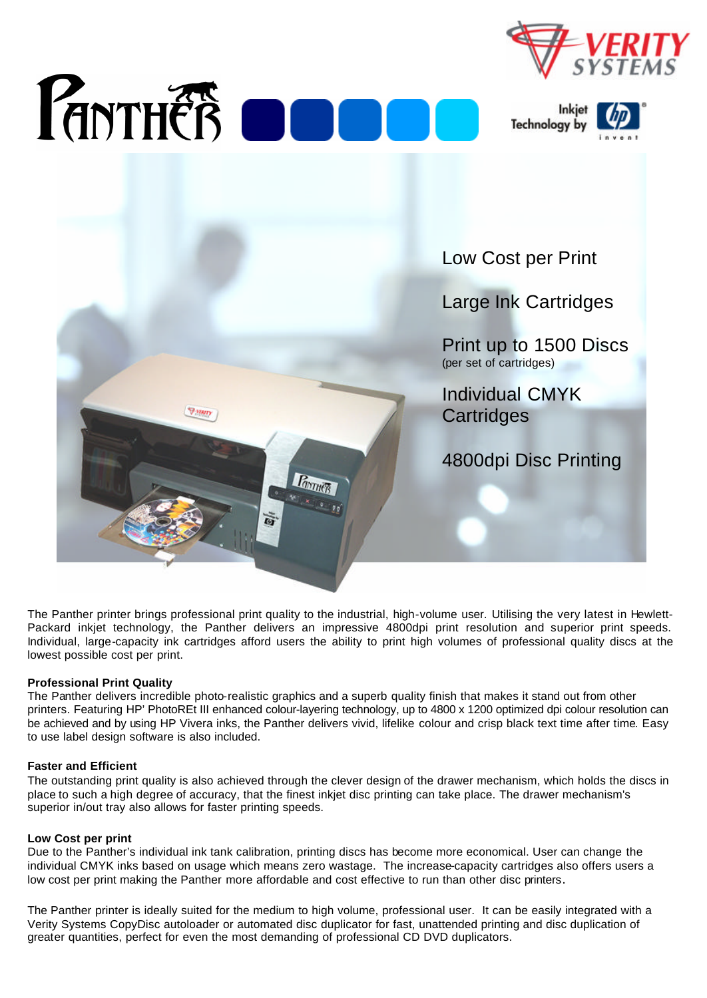







The Panther printer brings professional print quality to the industrial, high-volume user. Utilising the very latest in Hewlett-Packard inkjet technology, the Panther delivers an impressive 4800dpi print resolution and superior print speeds. Individual, large-capacity ink cartridges afford users the ability to print high volumes of professional quality discs at the lowest possible cost per print.

## **Professional Print Quality**

The Panther delivers incredible photo-realistic graphics and a superb quality finish that makes it stand out from other printers. Featuring HP' PhotoREt III enhanced colour-layering technology, up to 4800 x 1200 optimized dpi colour resolution can be achieved and by using HP Vivera inks, the Panther delivers vivid, lifelike colour and crisp black text time after time. Easy to use label design software is also included.

## **Faster and Efficient**

The outstanding print quality is also achieved through the clever design of the drawer mechanism, which holds the discs in place to such a high degree of accuracy, that the finest inkjet disc printing can take place. The drawer mechanism's superior in/out tray also allows for faster printing speeds.

## **Low Cost per print**

Due to the Panther's individual ink tank calibration, printing discs has become more economical. User can change the individual CMYK inks based on usage which means zero wastage. The increase-capacity cartridges also offers users a low cost per print making the Panther more affordable and cost effective to run than other disc printers.

The Panther printer is ideally suited for the medium to high volume, professional user. It can be easily integrated with a Verity Systems CopyDisc autoloader or automated disc duplicator for fast, unattended printing and disc duplication of greater quantities, perfect for even the most demanding of professional CD DVD duplicators.